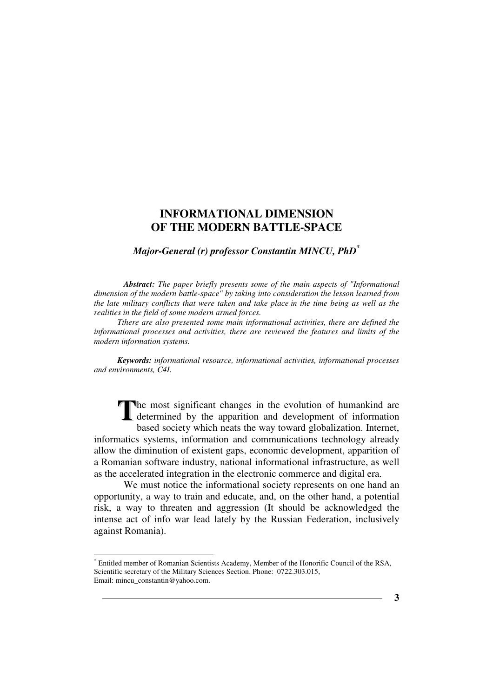### *Major-General (r) professor Constantin MINCU, PhD\**

*Abstract: The paper briefly presents some of the main aspects of "Informational dimension of the modern battle-space" by taking into consideration the lesson learned from the late military conflicts that were taken and take place in the time being as well as the realities in the field of some modern armed forces.*

*Tthere are also presented some main informational activities, there are defined the informational processes and activities, there are reviewed the features and limits of the modern information systems.*

*Keywords: informational resource, informational activities, informational processes and environments, C4I.* 

he most significant changes in the evolution of humankind are The most significant changes in the evolution of humankind are determined by the apparition and development of information heads and conjecture which needs the way toward alobelization. Internet based society which neats the way toward globalization. Internet, informatics systems, information and communications technology already allow the diminution of existent gaps, economic development, apparition of a Romanian software industry, national informational infrastructure, as well as the accelerated integration in the electronic commerce and digital era.

We must notice the informational society represents on one hand an opportunity, a way to train and educate, and, on the other hand, a potential risk, a way to threaten and aggression (It should be acknowledged the intense act of info war lead lately by the Russian Federation, inclusively against Romania).

<sup>\*</sup> Entitled member of Romanian Scientists Academy, Member of the Honorific Council of the RSA, Scientific secretary of the Military Sciences Section. Phone: 0722.303.015, Email: mincu\_constantin@yahoo.com.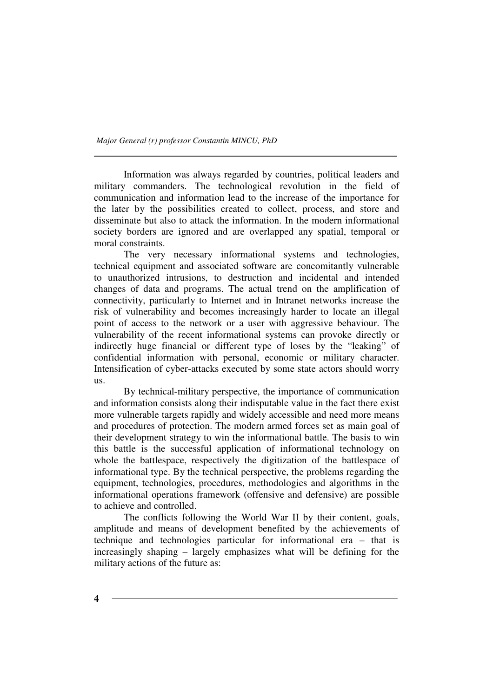Information was always regarded by countries, political leaders and military commanders. The technological revolution in the field of communication and information lead to the increase of the importance for the later by the possibilities created to collect, process, and store and disseminate but also to attack the information. In the modern informational society borders are ignored and are overlapped any spatial, temporal or moral constraints.

The very necessary informational systems and technologies, technical equipment and associated software are concomitantly vulnerable to unauthorized intrusions, to destruction and incidental and intended changes of data and programs. The actual trend on the amplification of connectivity, particularly to Internet and in Intranet networks increase the risk of vulnerability and becomes increasingly harder to locate an illegal point of access to the network or a user with aggressive behaviour. The vulnerability of the recent informational systems can provoke directly or indirectly huge financial or different type of loses by the "leaking" of confidential information with personal, economic or military character. Intensification of cyber-attacks executed by some state actors should worry us.

By technical-military perspective, the importance of communication and information consists along their indisputable value in the fact there exist more vulnerable targets rapidly and widely accessible and need more means and procedures of protection. The modern armed forces set as main goal of their development strategy to win the informational battle. The basis to win this battle is the successful application of informational technology on whole the battlespace, respectively the digitization of the battlespace of informational type. By the technical perspective, the problems regarding the equipment, technologies, procedures, methodologies and algorithms in the informational operations framework (offensive and defensive) are possible to achieve and controlled.

The conflicts following the World War II by their content, goals, amplitude and means of development benefited by the achievements of technique and technologies particular for informational era – that is increasingly shaping – largely emphasizes what will be defining for the military actions of the future as: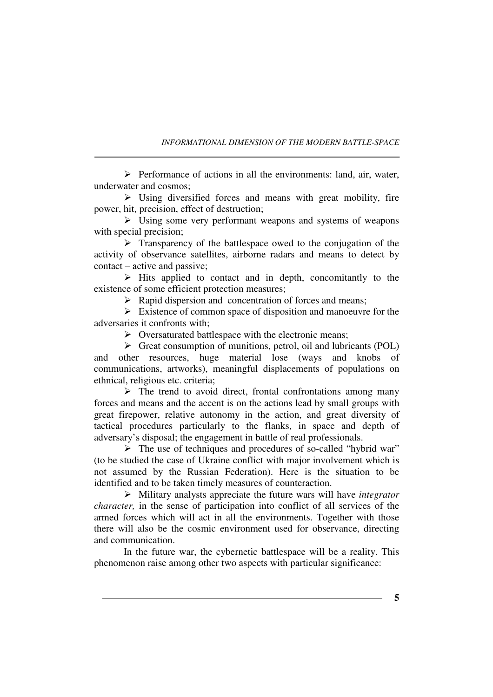$\triangleright$  Performance of actions in all the environments: land, air, water, underwater and cosmos;

 $\triangleright$  Using diversified forces and means with great mobility, fire power, hit, precision, effect of destruction;

 $\triangleright$  Using some very performant weapons and systems of weapons with special precision;

 $\triangleright$  Transparency of the battlespace owed to the conjugation of the activity of observance satellites, airborne radars and means to detect by contact – active and passive;

 $\triangleright$  Hits applied to contact and in depth, concomitantly to the existence of some efficient protection measures;

 $\triangleright$  Rapid dispersion and concentration of forces and means;

 $\triangleright$  Existence of common space of disposition and manoeuvre for the adversaries it confronts with;

 $\triangleright$  Oversaturated battlespace with the electronic means;

 $\triangleright$  Great consumption of munitions, petrol, oil and lubricants (POL) and other resources, huge material lose (ways and knobs of communications, artworks), meaningful displacements of populations on ethnical, religious etc. criteria;

 $\triangleright$  The trend to avoid direct, frontal confrontations among many forces and means and the accent is on the actions lead by small groups with great firepower, relative autonomy in the action, and great diversity of tactical procedures particularly to the flanks, in space and depth of adversary's disposal; the engagement in battle of real professionals.

 The use of techniques and procedures of so-called "hybrid war" (to be studied the case of Ukraine conflict with major involvement which is not assumed by the Russian Federation). Here is the situation to be identified and to be taken timely measures of counteraction.

 Military analysts appreciate the future wars will have *integrator character,* in the sense of participation into conflict of all services of the armed forces which will act in all the environments. Together with those there will also be the cosmic environment used for observance, directing and communication.

In the future war, the cybernetic battlespace will be a reality. This phenomenon raise among other two aspects with particular significance: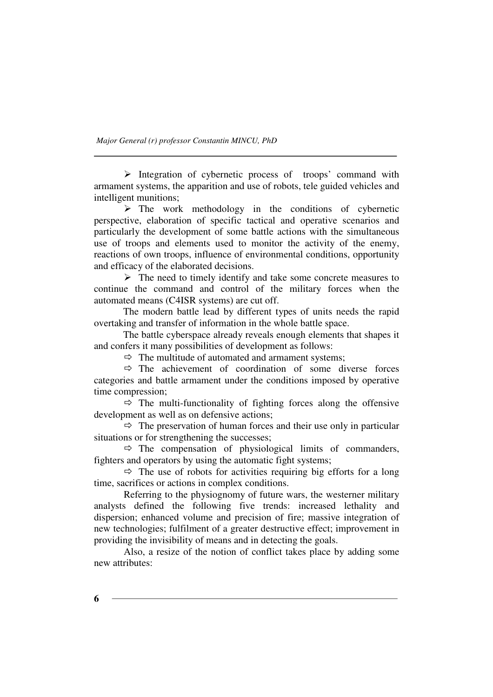$\triangleright$  Integration of cybernetic process of troops' command with armament systems, the apparition and use of robots, tele guided vehicles and intelligent munitions;

 $\triangleright$  The work methodology in the conditions of cybernetic perspective, elaboration of specific tactical and operative scenarios and particularly the development of some battle actions with the simultaneous use of troops and elements used to monitor the activity of the enemy, reactions of own troops, influence of environmental conditions, opportunity and efficacy of the elaborated decisions.

 $\triangleright$  The need to timely identify and take some concrete measures to continue the command and control of the military forces when the automated means (C4ISR systems) are cut off.

The modern battle lead by different types of units needs the rapid overtaking and transfer of information in the whole battle space.

The battle cyberspace already reveals enough elements that shapes it and confers it many possibilities of development as follows:

 $\Rightarrow$  The multitude of automated and armament systems;

 $\Rightarrow$  The achievement of coordination of some diverse forces categories and battle armament under the conditions imposed by operative time compression;

 $\Rightarrow$  The multi-functionality of fighting forces along the offensive development as well as on defensive actions;

 $\Rightarrow$  The preservation of human forces and their use only in particular situations or for strengthening the successes;

 $\Leftrightarrow$  The compensation of physiological limits of commanders, fighters and operators by using the automatic fight systems;

 $\Rightarrow$  The use of robots for activities requiring big efforts for a long time, sacrifices or actions in complex conditions.

Referring to the physiognomy of future wars, the westerner military analysts defined the following five trends: increased lethality and dispersion; enhanced volume and precision of fire; massive integration of new technologies; fulfilment of a greater destructive effect; improvement in providing the invisibility of means and in detecting the goals.

Also, a resize of the notion of conflict takes place by adding some new attributes: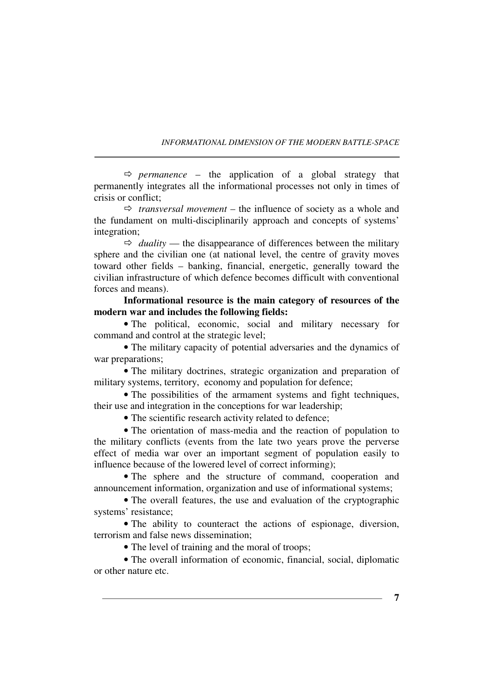$\Rightarrow$  *permanence* – the application of a global strategy that permanently integrates all the informational processes not only in times of crisis or conflict;

 $\Leftrightarrow$  *transversal movement* – the influence of society as a whole and the fundament on multi-disciplinarily approach and concepts of systems' integration;

 $\Rightarrow$  *duality* — the disappearance of differences between the military sphere and the civilian one (at national level, the centre of gravity moves toward other fields – banking, financial, energetic, generally toward the civilian infrastructure of which defence becomes difficult with conventional forces and means).

**Informational resource is the main category of resources of the modern war and includes the following fields:** 

• The political, economic, social and military necessary for command and control at the strategic level;

• The military capacity of potential adversaries and the dynamics of war preparations:

• The military doctrines, strategic organization and preparation of military systems, territory, economy and population for defence;

• The possibilities of the armament systems and fight techniques, their use and integration in the conceptions for war leadership;

• The scientific research activity related to defence;

• The orientation of mass-media and the reaction of population to the military conflicts (events from the late two years prove the perverse effect of media war over an important segment of population easily to influence because of the lowered level of correct informing);

• The sphere and the structure of command, cooperation and announcement information, organization and use of informational systems;

• The overall features, the use and evaluation of the cryptographic systems' resistance;

• The ability to counteract the actions of espionage, diversion, terrorism and false news dissemination;

• The level of training and the moral of troops;

• The overall information of economic, financial, social, diplomatic or other nature etc.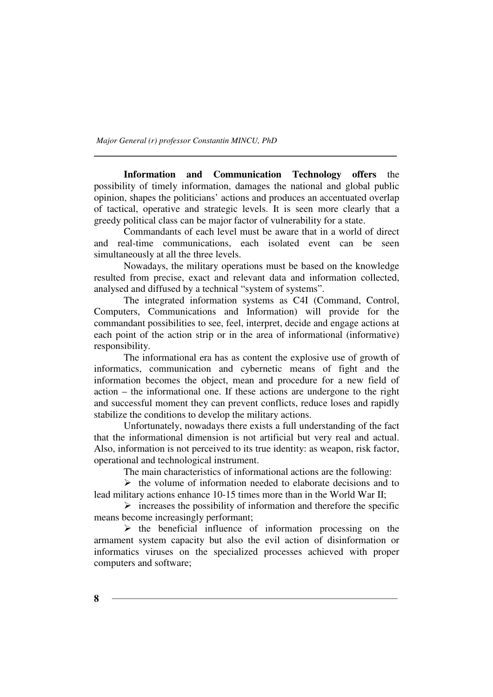**Information and Communication Technology offers** the possibility of timely information, damages the national and global public opinion, shapes the politicians' actions and produces an accentuated overlap of tactical, operative and strategic levels. It is seen more clearly that a greedy political class can be major factor of vulnerability for a state.

Commandants of each level must be aware that in a world of direct and real-time communications, each isolated event can be seen simultaneously at all the three levels.

Nowadays, the military operations must be based on the knowledge resulted from precise, exact and relevant data and information collected, analysed and diffused by a technical "system of systems".

The integrated information systems as C4I (Command, Control, Computers, Communications and Information) will provide for the commandant possibilities to see, feel, interpret, decide and engage actions at each point of the action strip or in the area of informational (informative) responsibility.

The informational era has as content the explosive use of growth of informatics, communication and cybernetic means of fight and the information becomes the object, mean and procedure for a new field of action – the informational one. If these actions are undergone to the right and successful moment they can prevent conflicts, reduce loses and rapidly stabilize the conditions to develop the military actions.

Unfortunately, nowadays there exists a full understanding of the fact that the informational dimension is not artificial but very real and actual. Also, information is not perceived to its true identity: as weapon, risk factor, operational and technological instrument.

The main characteristics of informational actions are the following:

 $\triangleright$  the volume of information needed to elaborate decisions and to lead military actions enhance 10-15 times more than in the World War II;

 $\triangleright$  increases the possibility of information and therefore the specific means become increasingly performant;

 $\triangleright$  the beneficial influence of information processing on the armament system capacity but also the evil action of disinformation or informatics viruses on the specialized processes achieved with proper computers and software;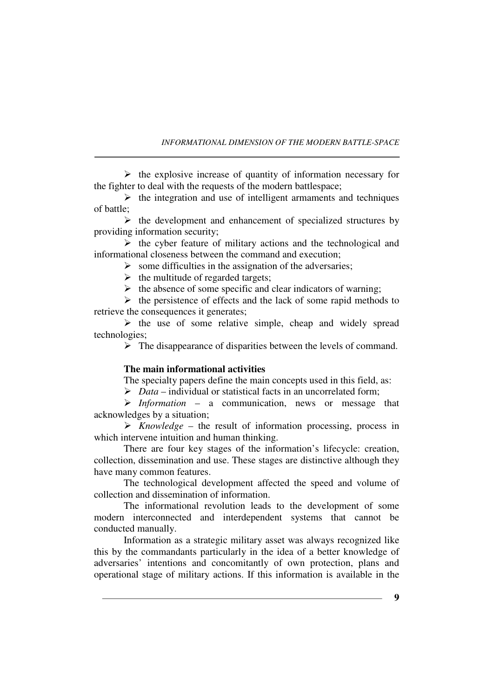$\triangleright$  the explosive increase of quantity of information necessary for the fighter to deal with the requests of the modern battlespace;

 $\triangleright$  the integration and use of intelligent armaments and techniques of battle;

 $\triangleright$  the development and enhancement of specialized structures by providing information security;

 $\triangleright$  the cyber feature of military actions and the technological and informational closeness between the command and execution;

 $\triangleright$  some difficulties in the assignation of the adversaries;

 $\triangleright$  the multitude of regarded targets;

 $\triangleright$  the absence of some specific and clear indicators of warning;

 $\triangleright$  the persistence of effects and the lack of some rapid methods to retrieve the consequences it generates;

 $\triangleright$  the use of some relative simple, cheap and widely spread technologies;

 $\triangleright$  The disappearance of disparities between the levels of command.

#### **The main informational activities**

The specialty papers define the main concepts used in this field, as:

*Data* – individual or statistical facts in an uncorrelated form;

 *Information* – a communication, news or message that acknowledges by a situation;

 *Knowledge* – the result of information processing, process in which intervene intuition and human thinking.

There are four key stages of the information's lifecycle: creation, collection, dissemination and use. These stages are distinctive although they have many common features.

The technological development affected the speed and volume of collection and dissemination of information.

The informational revolution leads to the development of some modern interconnected and interdependent systems that cannot be conducted manually.

Information as a strategic military asset was always recognized like this by the commandants particularly in the idea of a better knowledge of adversaries' intentions and concomitantly of own protection, plans and operational stage of military actions. If this information is available in the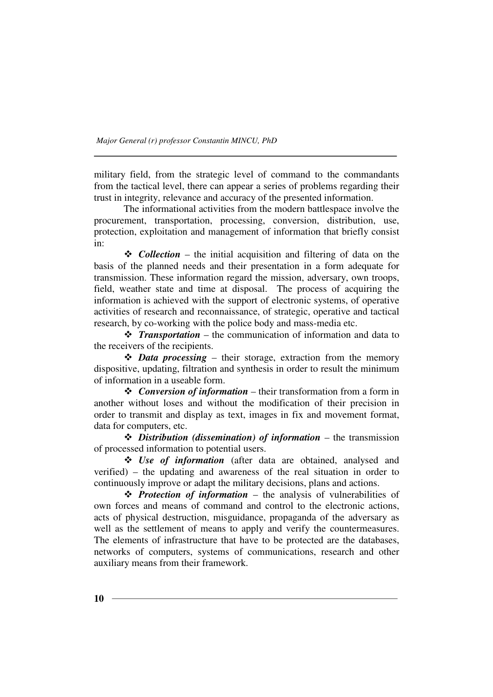military field, from the strategic level of command to the commandants from the tactical level, there can appear a series of problems regarding their trust in integrity, relevance and accuracy of the presented information.

The informational activities from the modern battlespace involve the procurement, transportation, processing, conversion, distribution, use, protection, exploitation and management of information that briefly consist in:

*❖ Collection* – the initial acquisition and filtering of data on the basis of the planned needs and their presentation in a form adequate for transmission. These information regard the mission, adversary, own troops, field, weather state and time at disposal. The process of acquiring the information is achieved with the support of electronic systems, of operative activities of research and reconnaissance, of strategic, operative and tactical research, by co-working with the police body and mass-media etc.

 *Transportation* – the communication of information and data to the receivers of the recipients.

 *Data processing* – their storage, extraction from the memory dispositive, updating, filtration and synthesis in order to result the minimum of information in a useable form.

 *Conversion of information* – their transformation from a form in another without loses and without the modification of their precision in order to transmit and display as text, images in fix and movement format, data for computers, etc.

 *Distribution (dissemination) of information* – the transmission of processed information to potential users.

 *Use of information* (after data are obtained, analysed and verified) – the updating and awareness of the real situation in order to continuously improve or adapt the military decisions, plans and actions.

 *Protection of information* – the analysis of vulnerabilities of own forces and means of command and control to the electronic actions, acts of physical destruction, misguidance, propaganda of the adversary as well as the settlement of means to apply and verify the countermeasures. The elements of infrastructure that have to be protected are the databases, networks of computers, systems of communications, research and other auxiliary means from their framework.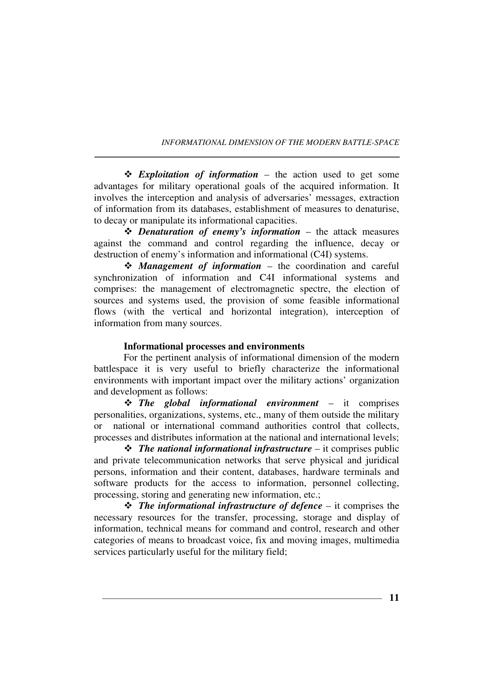*Exploitation of information* – the action used to get some advantages for military operational goals of the acquired information. It involves the interception and analysis of adversaries' messages, extraction of information from its databases, establishment of measures to denaturise, to decay or manipulate its informational capacities.

 *Denaturation of enemy's information* – the attack measures against the command and control regarding the influence, decay or destruction of enemy's information and informational (C4I) systems.

 *Management of information* – the coordination and careful synchronization of information and C4I informational systems and comprises: the management of electromagnetic spectre, the election of sources and systems used, the provision of some feasible informational flows (with the vertical and horizontal integration), interception of information from many sources.

### **Informational processes and environments**

For the pertinent analysis of informational dimension of the modern battlespace it is very useful to briefly characterize the informational environments with important impact over the military actions' organization and development as follows:

 *The global informational environment* – it comprises personalities, organizations, systems, etc., many of them outside the military or national or international command authorities control that collects, processes and distributes information at the national and international levels;

 *The national informational infrastructure* – it comprises public and private telecommunication networks that serve physical and juridical persons, information and their content, databases, hardware terminals and software products for the access to information, personnel collecting, processing, storing and generating new information, etc.;

 *The informational infrastructure of defence* – it comprises the necessary resources for the transfer, processing, storage and display of information, technical means for command and control, research and other categories of means to broadcast voice, fix and moving images, multimedia services particularly useful for the military field;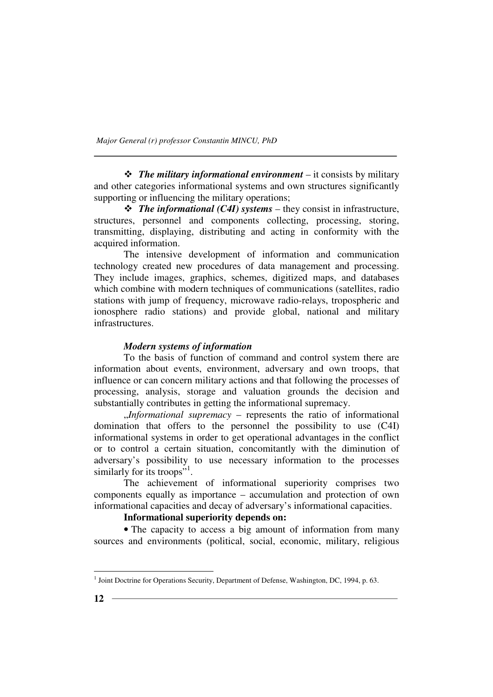*The military informational environment* – it consists by military and other categories informational systems and own structures significantly supporting or influencing the military operations;

 *The informational (C4I) systems* – they consist in infrastructure, structures, personnel and components collecting, processing, storing, transmitting, displaying, distributing and acting in conformity with the acquired information.

The intensive development of information and communication technology created new procedures of data management and processing. They include images, graphics, schemes, digitized maps, and databases which combine with modern techniques of communications (satellites, radio stations with jump of frequency, microwave radio-relays, tropospheric and ionosphere radio stations) and provide global, national and military infrastructures.

### *Modern systems of information*

To the basis of function of command and control system there are information about events, environment, adversary and own troops, that influence or can concern military actions and that following the processes of processing, analysis, storage and valuation grounds the decision and substantially contributes in getting the informational supremacy.

"*Informational supremacy* – represents the ratio of informational domination that offers to the personnel the possibility to use (C4I) informational systems in order to get operational advantages in the conflict or to control a certain situation, concomitantly with the diminution of adversary's possibility to use necessary information to the processes similarly for its troops"<sup>1</sup>.

The achievement of informational superiority comprises two components equally as importance – accumulation and protection of own informational capacities and decay of adversary's informational capacities.

## **Informational superiority depends on:**

• The capacity to access a big amount of information from many sources and environments (political, social, economic, military, religious

 $<sup>1</sup>$  Joint Doctrine for Operations Security, Department of Defense, Washington, DC, 1994, p. 63.</sup>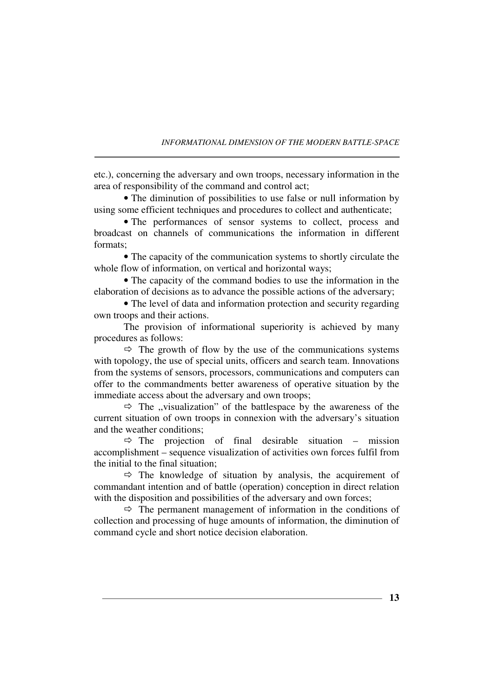etc.), concerning the adversary and own troops, necessary information in the area of responsibility of the command and control act;

• The diminution of possibilities to use false or null information by using some efficient techniques and procedures to collect and authenticate;

• The performances of sensor systems to collect, process and broadcast on channels of communications the information in different formats;

• The capacity of the communication systems to shortly circulate the whole flow of information, on vertical and horizontal ways;

• The capacity of the command bodies to use the information in the elaboration of decisions as to advance the possible actions of the adversary;

• The level of data and information protection and security regarding own troops and their actions.

The provision of informational superiority is achieved by many procedures as follows:

 $\Rightarrow$  The growth of flow by the use of the communications systems with topology, the use of special units, officers and search team. Innovations from the systems of sensors, processors, communications and computers can offer to the commandments better awareness of operative situation by the immediate access about the adversary and own troops;

 $\Rightarrow$  The "visualization" of the battlespace by the awareness of the current situation of own troops in connexion with the adversary's situation and the weather conditions;

 $\Rightarrow$  The projection of final desirable situation – mission accomplishment – sequence visualization of activities own forces fulfil from the initial to the final situation;

 $\Rightarrow$  The knowledge of situation by analysis, the acquirement of commandant intention and of battle (operation) conception in direct relation with the disposition and possibilities of the adversary and own forces;

 $\Rightarrow$  The permanent management of information in the conditions of collection and processing of huge amounts of information, the diminution of command cycle and short notice decision elaboration.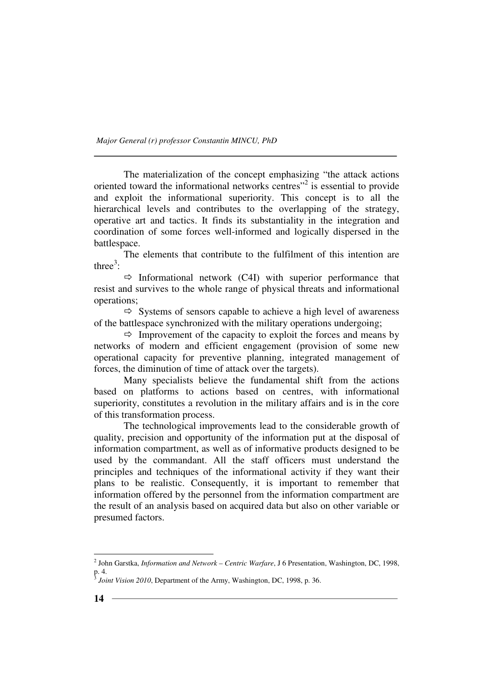The materialization of the concept emphasizing "the attack actions oriented toward the informational networks centres"<sup>2</sup> is essential to provide and exploit the informational superiority. This concept is to all the hierarchical levels and contributes to the overlapping of the strategy, operative art and tactics. It finds its substantiality in the integration and coordination of some forces well-informed and logically dispersed in the battlespace.

The elements that contribute to the fulfilment of this intention are three $3$ :

 $\Rightarrow$  Informational network (C4I) with superior performance that resist and survives to the whole range of physical threats and informational operations;

 $\Rightarrow$  Systems of sensors capable to achieve a high level of awareness of the battlespace synchronized with the military operations undergoing;

 $\Rightarrow$  Improvement of the capacity to exploit the forces and means by networks of modern and efficient engagement (provision of some new operational capacity for preventive planning, integrated management of forces, the diminution of time of attack over the targets).

Many specialists believe the fundamental shift from the actions based on platforms to actions based on centres, with informational superiority, constitutes a revolution in the military affairs and is in the core of this transformation process.

The technological improvements lead to the considerable growth of quality, precision and opportunity of the information put at the disposal of information compartment, as well as of informative products designed to be used by the commandant. All the staff officers must understand the principles and techniques of the informational activity if they want their plans to be realistic. Consequently, it is important to remember that information offered by the personnel from the information compartment are the result of an analysis based on acquired data but also on other variable or presumed factors.

<sup>2</sup> John Garstka, *Information and Network – Centric Warfare*, J 6 Presentation, Washington, DC, 1998, p. 4. 3 *Joint Vision 2010*, Department of the Army, Washington, DC, 1998, p. 36.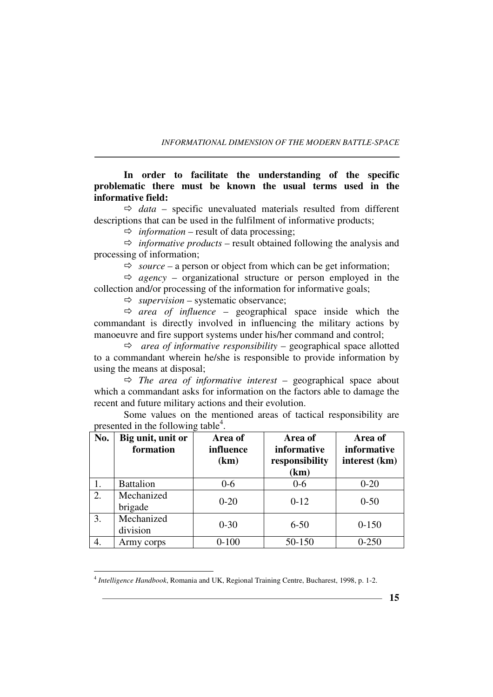**In order to facilitate the understanding of the specific problematic there must be known the usual terms used in the informative field:** 

 $\Rightarrow$  *data* – specific unevaluated materials resulted from different descriptions that can be used in the fulfilment of informative products;

 $\Rightarrow$  *information* – result of data processing;

 $\Rightarrow$  *informative products* – result obtained following the analysis and processing of information;

 $\Rightarrow$  *source* – a person or object from which can be get information;

 $\Leftrightarrow$  *agency* – organizational structure or person employed in the collection and/or processing of the information for informative goals;

 $\Rightarrow$  *supervision* – systematic observance;

 $\Leftrightarrow$  *area of influence* – geographical space inside which the commandant is directly involved in influencing the military actions by manoeuvre and fire support systems under his/her command and control;

- *area of informative responsibility* – geographical space allotted to a commandant wherein he/she is responsible to provide information by using the means at disposal;

- *The area of informative interest* – geographical space about which a commandant asks for information on the factors able to damage the recent and future military actions and their evolution.

Some values on the mentioned areas of tactical responsibility are presented in the following table<sup>4</sup>.

| No. | Big unit, unit or<br>formation | Area of<br>influence<br>(km) | Area of<br>informative<br>responsibility<br>(km) | Area of<br>informative<br>interest (km) |
|-----|--------------------------------|------------------------------|--------------------------------------------------|-----------------------------------------|
| 1.  | <b>Battalion</b>               | $0-6$                        | $0-6$                                            | $0 - 20$                                |
| 2.  | Mechanized<br>brigade          | $0 - 20$                     | $0-12$                                           | $0 - 50$                                |
| 3.  | Mechanized<br>division         | $0 - 30$                     | $6 - 50$                                         | $0 - 150$                               |
| 4.  | Army corps                     | $0 - 100$                    | 50-150                                           | $0 - 250$                               |

<sup>4</sup> *Intelligence Handbook*, Romania and UK, Regional Training Centre, Bucharest, 1998, p. 1-2.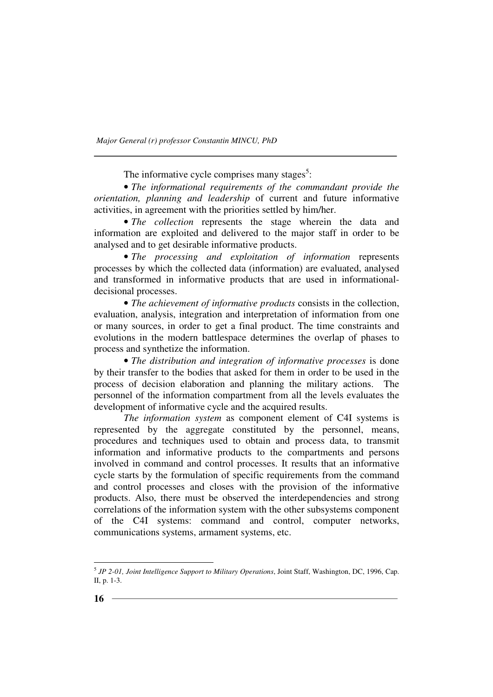The informative cycle comprises many stages<sup>5</sup>:

• *The informational requirements of the commandant provide the orientation, planning and leadership* of current and future informative activities, in agreement with the priorities settled by him/her.

• *The collection* represents the stage wherein the data and information are exploited and delivered to the major staff in order to be analysed and to get desirable informative products.

• *The processing and exploitation of information* represents processes by which the collected data (information) are evaluated, analysed and transformed in informative products that are used in informationaldecisional processes.

• *The achievement of informative products* consists in the collection, evaluation, analysis, integration and interpretation of information from one or many sources, in order to get a final product. The time constraints and evolutions in the modern battlespace determines the overlap of phases to process and synthetize the information.

• *The distribution and integration of informative processes* is done by their transfer to the bodies that asked for them in order to be used in the process of decision elaboration and planning the military actions. The personnel of the information compartment from all the levels evaluates the development of informative cycle and the acquired results.

*The information system* as component element of C4I systems is represented by the aggregate constituted by the personnel, means, procedures and techniques used to obtain and process data, to transmit information and informative products to the compartments and persons involved in command and control processes. It results that an informative cycle starts by the formulation of specific requirements from the command and control processes and closes with the provision of the informative products. Also, there must be observed the interdependencies and strong correlations of the information system with the other subsystems component of the C4I systems: command and control, computer networks, communications systems, armament systems, etc.

<sup>5</sup> *JP 2-01, Joint Intelligence Support to Military Operations*, Joint Staff, Washington, DC, 1996, Cap. II, p. 1-3.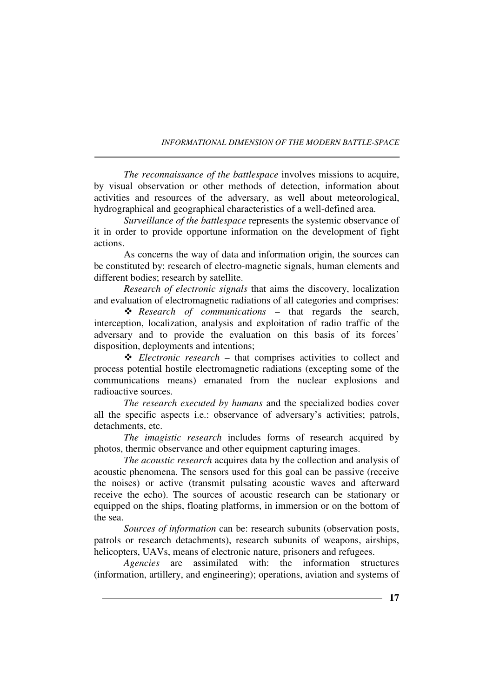*The reconnaissance of the battlespace* involves missions to acquire, by visual observation or other methods of detection, information about activities and resources of the adversary, as well about meteorological, hydrographical and geographical characteristics of a well-defined area.

*Surveillance of the battlespace* represents the systemic observance of it in order to provide opportune information on the development of fight actions.

As concerns the way of data and information origin, the sources can be constituted by: research of electro-magnetic signals, human elements and different bodies; research by satellite.

*Research of electronic signals* that aims the discovery, localization and evaluation of electromagnetic radiations of all categories and comprises:

 *Research of communications* – that regards the search, interception, localization, analysis and exploitation of radio traffic of the adversary and to provide the evaluation on this basis of its forces' disposition, deployments and intentions;

 *Electronic research* – that comprises activities to collect and process potential hostile electromagnetic radiations (excepting some of the communications means) emanated from the nuclear explosions and radioactive sources.

*The research executed by humans* and the specialized bodies cover all the specific aspects i.e.: observance of adversary's activities; patrols, detachments, etc.

*The imagistic research* includes forms of research acquired by photos, thermic observance and other equipment capturing images.

*The acoustic research* acquires data by the collection and analysis of acoustic phenomena. The sensors used for this goal can be passive (receive the noises) or active (transmit pulsating acoustic waves and afterward receive the echo). The sources of acoustic research can be stationary or equipped on the ships, floating platforms, in immersion or on the bottom of the sea.

*Sources of information* can be: research subunits (observation posts, patrols or research detachments), research subunits of weapons, airships, helicopters, UAVs, means of electronic nature, prisoners and refugees.

*Agencies* are assimilated with: the information structures (information, artillery, and engineering); operations, aviation and systems of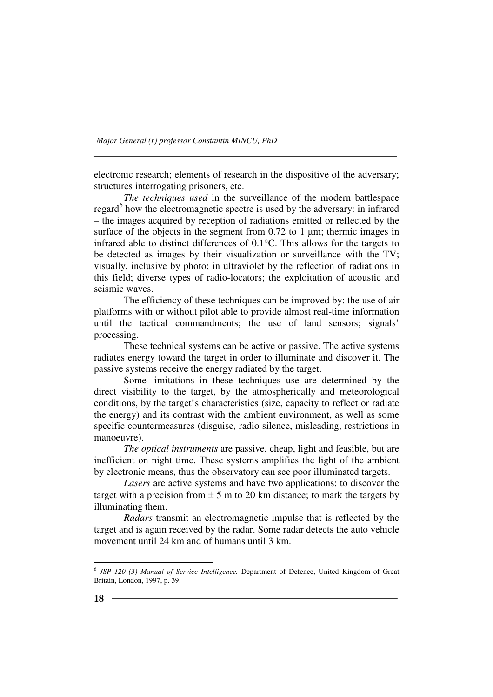electronic research; elements of research in the dispositive of the adversary; structures interrogating prisoners, etc.

*The techniques used* in the surveillance of the modern battlespace regard<sup>6</sup> how the electromagnetic spectre is used by the adversary: in infrared – the images acquired by reception of radiations emitted or reflected by the surface of the objects in the segment from  $0.72$  to 1  $\mu$ m; thermic images in infrared able to distinct differences of 0.1°C. This allows for the targets to be detected as images by their visualization or surveillance with the TV; visually, inclusive by photo; in ultraviolet by the reflection of radiations in this field; diverse types of radio-locators; the exploitation of acoustic and seismic waves.

The efficiency of these techniques can be improved by: the use of air platforms with or without pilot able to provide almost real-time information until the tactical commandments; the use of land sensors; signals' processing.

These technical systems can be active or passive. The active systems radiates energy toward the target in order to illuminate and discover it. The passive systems receive the energy radiated by the target.

Some limitations in these techniques use are determined by the direct visibility to the target, by the atmospherically and meteorological conditions, by the target's characteristics (size, capacity to reflect or radiate the energy) and its contrast with the ambient environment, as well as some specific countermeasures (disguise, radio silence, misleading, restrictions in manoeuvre).

*The optical instruments* are passive, cheap, light and feasible, but are inefficient on night time. These systems amplifies the light of the ambient by electronic means, thus the observatory can see poor illuminated targets.

*Lasers* are active systems and have two applications: to discover the target with a precision from  $\pm$  5 m to 20 km distance; to mark the targets by illuminating them.

*Radars* transmit an electromagnetic impulse that is reflected by the target and is again received by the radar. Some radar detects the auto vehicle movement until 24 km and of humans until 3 km.

<sup>6</sup> *JSP 120 (3) Manual of Service Intelligence.* Department of Defence, United Kingdom of Great Britain, London, 1997, p. 39.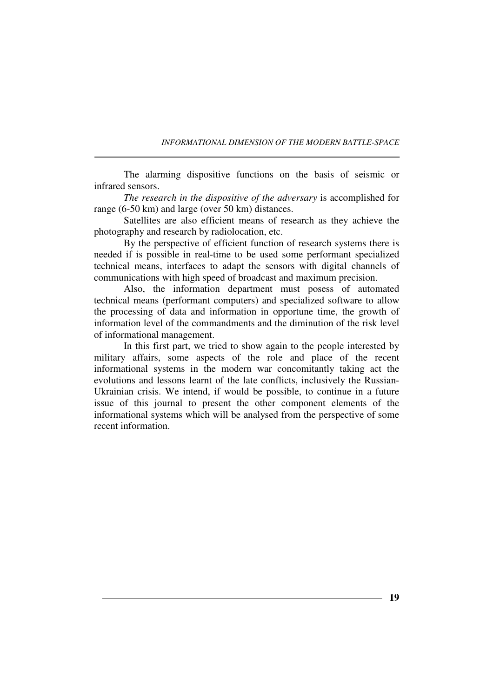The alarming dispositive functions on the basis of seismic or infrared sensors.

*The research in the dispositive of the adversary* is accomplished for range (6-50 km) and large (over 50 km) distances.

Satellites are also efficient means of research as they achieve the photography and research by radiolocation, etc.

By the perspective of efficient function of research systems there is needed if is possible in real-time to be used some performant specialized technical means, interfaces to adapt the sensors with digital channels of communications with high speed of broadcast and maximum precision.

Also, the information department must posess of automated technical means (performant computers) and specialized software to allow the processing of data and information in opportune time, the growth of information level of the commandments and the diminution of the risk level of informational management.

In this first part, we tried to show again to the people interested by military affairs, some aspects of the role and place of the recent informational systems in the modern war concomitantly taking act the evolutions and lessons learnt of the late conflicts, inclusively the Russian-Ukrainian crisis. We intend, if would be possible, to continue in a future issue of this journal to present the other component elements of the informational systems which will be analysed from the perspective of some recent information.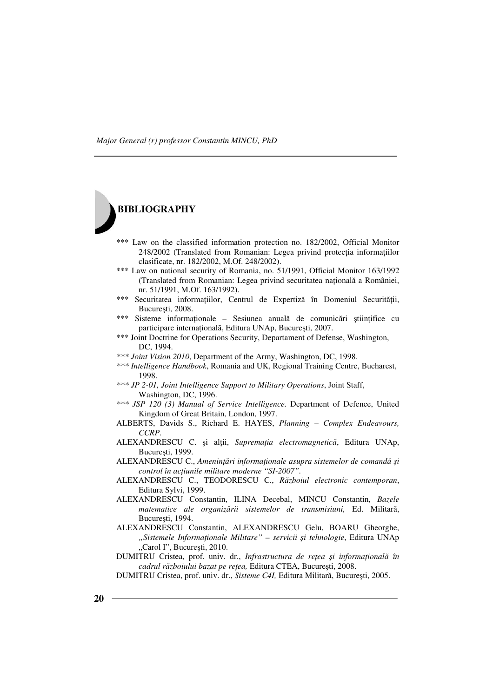

- \*\*\* Law on the classified information protection no. 182/2002, Official Monitor 248/2002 (Translated from Romanian: Legea privind protecția informațiilor clasificate, nr. 182/2002, M.Of. 248/2002).
- \*\*\* Law on national security of Romania, no. 51/1991, Official Monitor 163/1992 (Translated from Romanian: Legea privind securitatea națională a României, nr. 51/1991, M.Of. 163/1992).
- \*\*\* Securitatea informațiilor, Centrul de Expertiză în Domeniul Securității, Bucureşti, 2008.
- \*\*\* Sisteme informaționale Sesiunea anuală de comunicări științifice cu participare internațională, Editura UNAp, București, 2007.
- \*\*\* Joint Doctrine for Operations Security, Departament of Defense, Washington, DC, 1994.
- *\*\*\* Joint Vision 2010*, Department of the Army, Washington, DC, 1998.
- *\*\*\* Intelligence Handbook*, Romania and UK, Regional Training Centre, Bucharest, 1998.
- *\*\*\* JP 2-01, Joint Intelligence Support to Military Operations*, Joint Staff, Washington, DC, 1996.
- *\*\*\* JSP 120 (3) Manual of Service Intelligence.* Department of Defence, United Kingdom of Great Britain, London, 1997.
- ALBERTS, Davids S., Richard E. HAYES, *Planning Complex Endeavours, CCRP.*
- ALEXANDRESCU C. și alții, Supremația electromagnetică, Editura UNAp, Bucureşti, 1999.
- ALEXANDRESCU C., Amenințări informaționale asupra sistemelor de comandă și *control în acțiunile militare moderne "SI-2007".*
- ALEXANDRESCU C., TEODORESCU C., *Războiul electronic contemporan*, Editura Sylvi, 1999.
- ALEXANDRESCU Constantin, ILINA Decebal, MINCU Constantin, *Bazele matematice ale organizării sistemelor de transmisiuni,* Ed. Militară, Bucureşti, 1994.
- ALEXANDRESCU Constantin, ALEXANDRESCU Gelu, BOARU Gheorghe, *"Sistemele InformaŃionale Militare" – servicii şi tehnologie*, Editura UNAp "Carol I", București, 2010.

DUMITRU Cristea, prof. univ. dr., *Infrastructura de rețea și informațională în cadrul războiului bazat pe rețea, Editura CTEA, București, 2008.* 

DUMITRU Cristea, prof. univ. dr., *Sisteme C4I,* Editura Militară, Bucureşti, 2005.